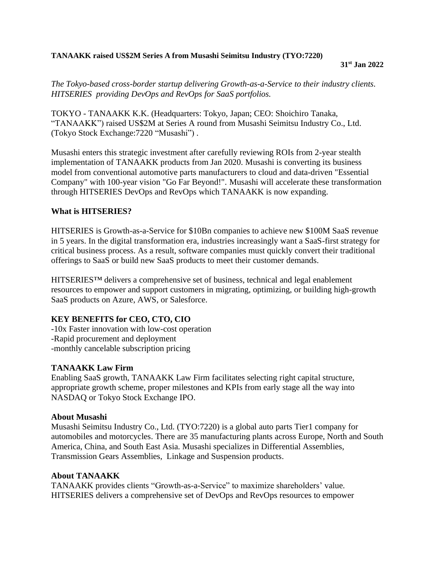## **TANAAKK raised US\$2M Series A from Musashi Seimitsu Industry (TYO:7220)**

#### **31st Jan 2022**

*The Tokyo-based cross-border startup delivering Growth-as-a-Service to their industry clients. HITSERIES providing DevOps and RevOps for SaaS portfolios.*

TOKYO - TANAAKK K.K. (Headquarters: Tokyo, Japan; CEO: Shoichiro Tanaka, "TANAAKK") raised US\$2M at Series A round from Musashi Seimitsu Industry Co., Ltd. (Tokyo Stock Exchange:7220 "Musashi") .

Musashi enters this strategic investment after carefully reviewing ROIs from 2-year stealth implementation of TANAAKK products from Jan 2020. Musashi is converting its business model from conventional automotive parts manufacturers to cloud and data-driven "Essential Company" with 100-year vision "Go Far Beyond!". Musashi will accelerate these transformation through HITSERIES DevOps and RevOps which TANAAKK is now expanding.

## **What is HITSERIES?**

HITSERIES is Growth-as-a-Service for \$10Bn companies to achieve new \$100M SaaS revenue in 5 years. In the digital transformation era, industries increasingly want a SaaS-first strategy for critical business process. As a result, software companies must quickly convert their traditional offerings to SaaS or build new SaaS products to meet their customer demands.

HITSERIES™ delivers a comprehensive set of business, technical and legal enablement resources to empower and support customers in migrating, optimizing, or building high-growth SaaS products on Azure, AWS, or Salesforce.

# **KEY BENEFITS for CEO, CTO, CIO**

-10x Faster innovation with low-cost operation -Rapid procurement and deployment -monthly cancelable subscription pricing

### **TANAAKK Law Firm**

Enabling SaaS growth, TANAAKK Law Firm facilitates selecting right capital structure, appropriate growth scheme, proper milestones and KPIs from early stage all the way into NASDAQ or Tokyo Stock Exchange IPO.

### **About Musashi**

Musashi Seimitsu Industry Co., Ltd. (TYO:7220) is a global auto parts Tier1 company for automobiles and motorcycles. There are 35 manufacturing plants across Europe, North and South America, China, and South East Asia. Musashi specializes in Differential Assemblies, Transmission Gears Assemblies, Linkage and Suspension products.

## **About TANAAKK**

TANAAKK provides clients "Growth-as-a-Service" to maximize shareholders' value. HITSERIES delivers a comprehensive set of DevOps and RevOps resources to empower